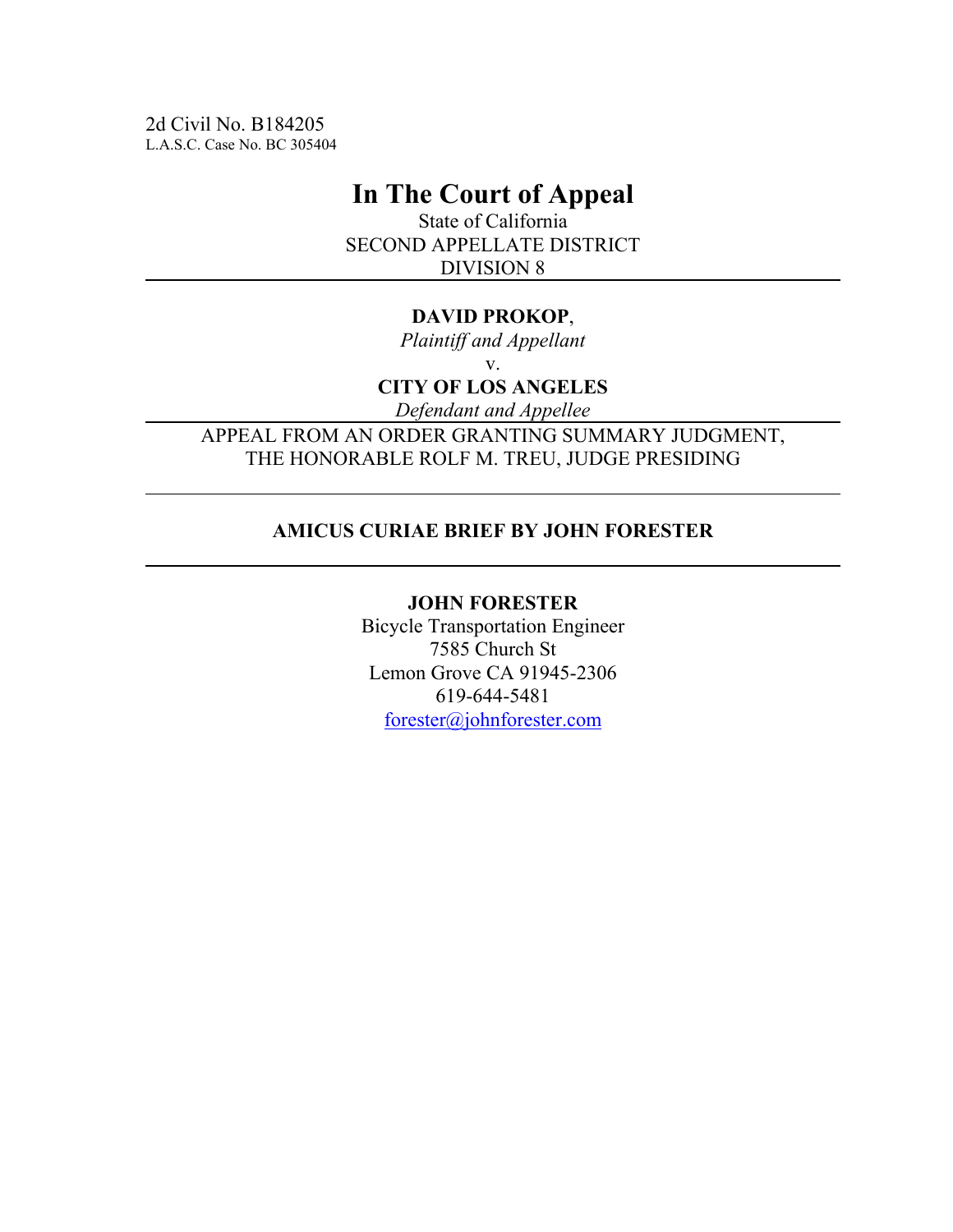2d Civil No. B184205 L.A.S.C. Case No. BC 305404

# **In The Court of Appeal**

State of California SECOND APPELLATE DISTRICT DIVISION 8

### **DAVID PROKOP**,

*Plaintiff and Appellant* v.

**CITY OF LOS ANGELES**

*Defendant and Appellee*

APPEAL FROM AN ORDER GRANTING SUMMARY JUDGMENT, THE HONORABLE ROLF M. TREU, JUDGE PRESIDING

### **AMICUS CURIAE BRIEF BY JOHN FORESTER**

### **JOHN FORESTER**

Bicycle Transportation Engineer 7585 Church St Lemon Grove CA 91945-2306 619-644-5481 forester@johnforester.com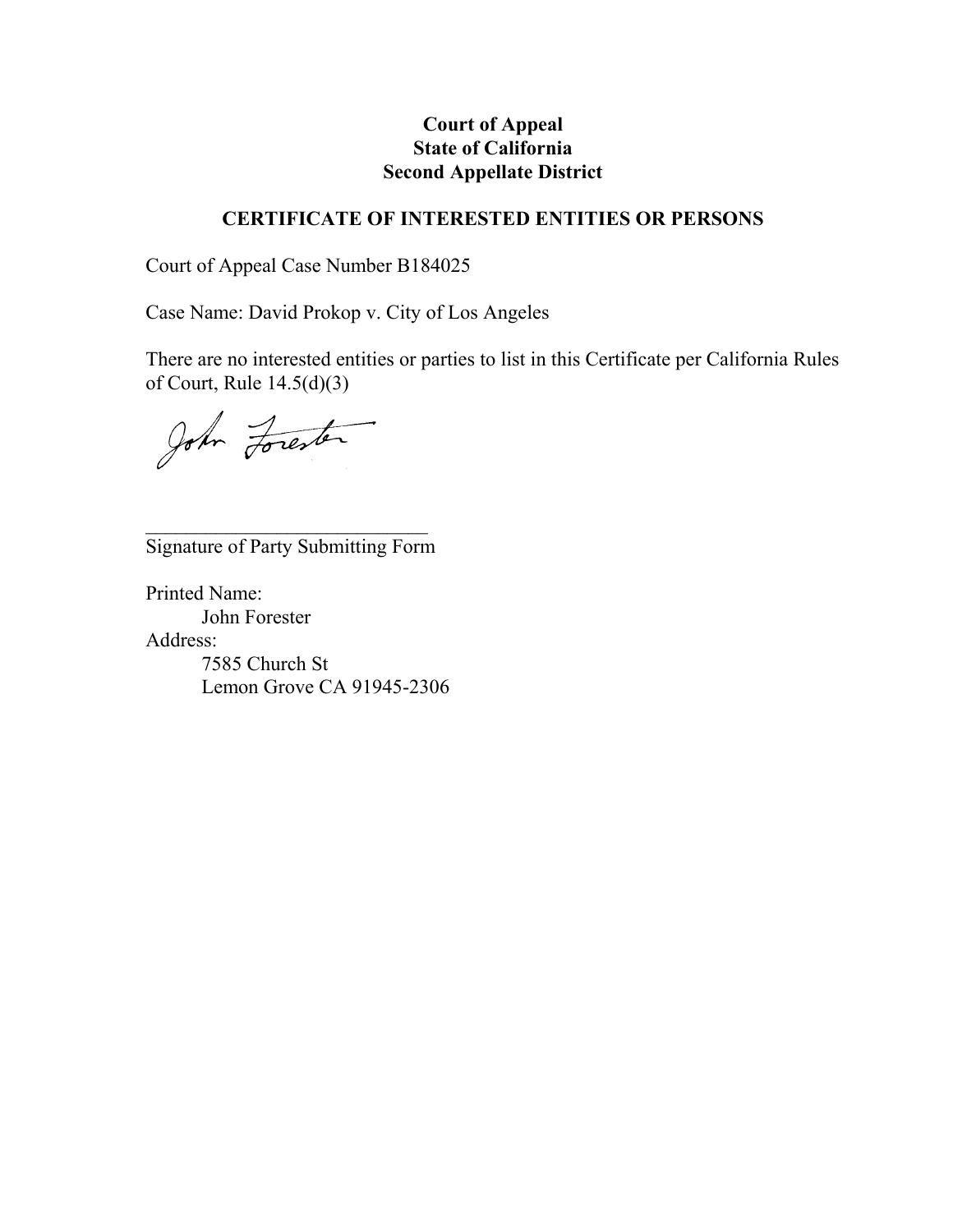### **Court of Appeal State of California Second Appellate District**

### **CERTIFICATE OF INTERESTED ENTITIES OR PERSONS**

Court of Appeal Case Number B184025

Case Name: David Prokop v. City of Los Angeles

There are no interested entities or parties to list in this Certificate per California Rules of Court, Rule 14.5(d)(3)

John Forester

 $\mathcal{L}_\text{max}$  and  $\mathcal{L}_\text{max}$  and  $\mathcal{L}_\text{max}$ Signature of Party Submitting Form

Printed Name: John Forester Address: 7585 Church St Lemon Grove CA 91945-2306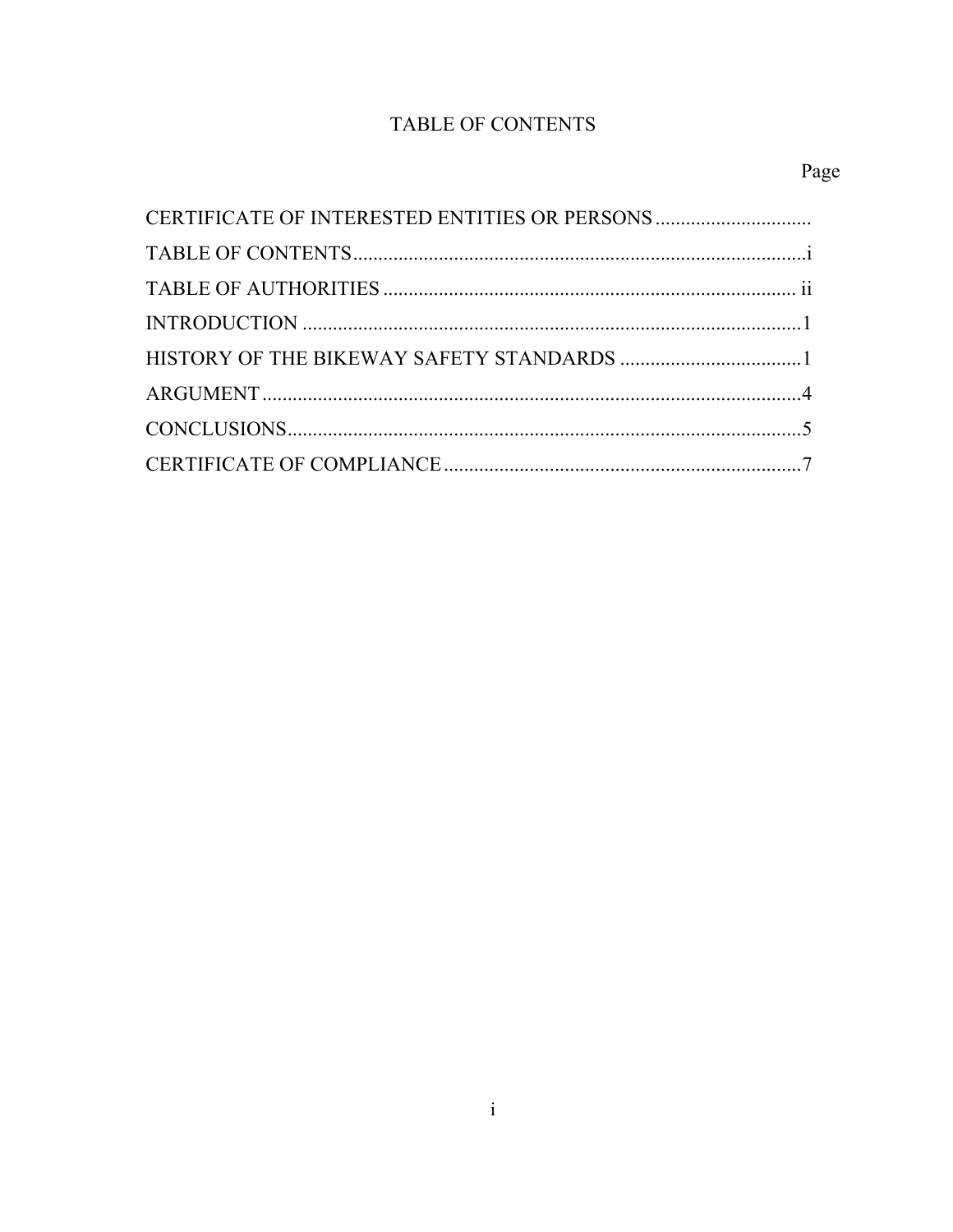# TABLE OF CONTENTS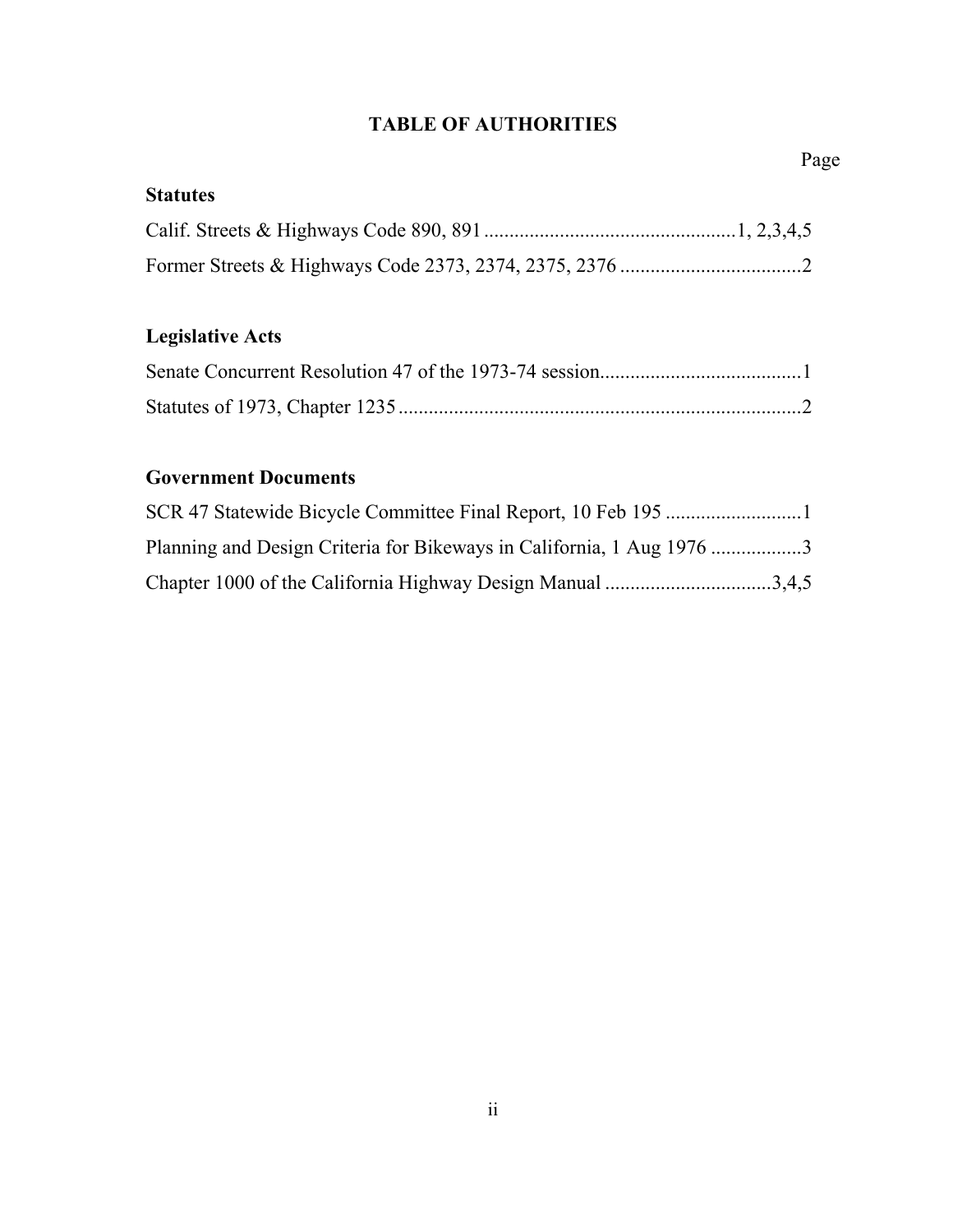## **TABLE OF AUTHORITIES**

## **Statutes**

# **Legislative Acts**

## **Government Documents**

| Planning and Design Criteria for Bikeways in California, 1 Aug 1976 3 |  |
|-----------------------------------------------------------------------|--|
| Chapter 1000 of the California Highway Design Manual 3,4,5            |  |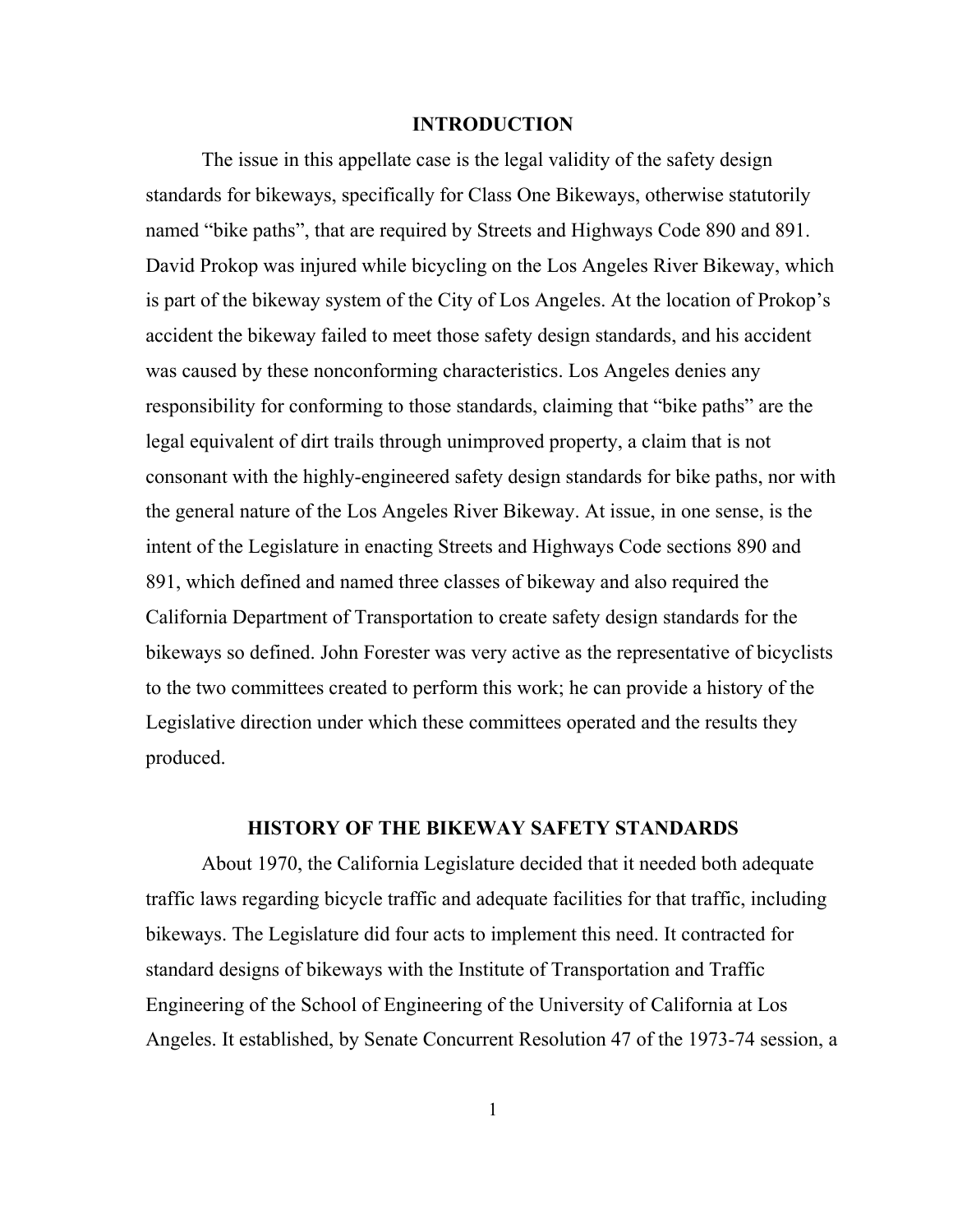#### **INTRODUCTION**

The issue in this appellate case is the legal validity of the safety design standards for bikeways, specifically for Class One Bikeways, otherwise statutorily named "bike paths", that are required by Streets and Highways Code 890 and 891. David Prokop was injured while bicycling on the Los Angeles River Bikeway, which is part of the bikeway system of the City of Los Angeles. At the location of Prokop's accident the bikeway failed to meet those safety design standards, and his accident was caused by these nonconforming characteristics. Los Angeles denies any responsibility for conforming to those standards, claiming that "bike paths" are the legal equivalent of dirt trails through unimproved property, a claim that is not consonant with the highly-engineered safety design standards for bike paths, nor with the general nature of the Los Angeles River Bikeway. At issue, in one sense, is the intent of the Legislature in enacting Streets and Highways Code sections 890 and 891, which defined and named three classes of bikeway and also required the California Department of Transportation to create safety design standards for the bikeways so defined. John Forester was very active as the representative of bicyclists to the two committees created to perform this work; he can provide a history of the Legislative direction under which these committees operated and the results they produced.

### **HISTORY OF THE BIKEWAY SAFETY STANDARDS**

About 1970, the California Legislature decided that it needed both adequate traffic laws regarding bicycle traffic and adequate facilities for that traffic, including bikeways. The Legislature did four acts to implement this need. It contracted for standard designs of bikeways with the Institute of Transportation and Traffic Engineering of the School of Engineering of the University of California at Los Angeles. It established, by Senate Concurrent Resolution 47 of the 1973-74 session, a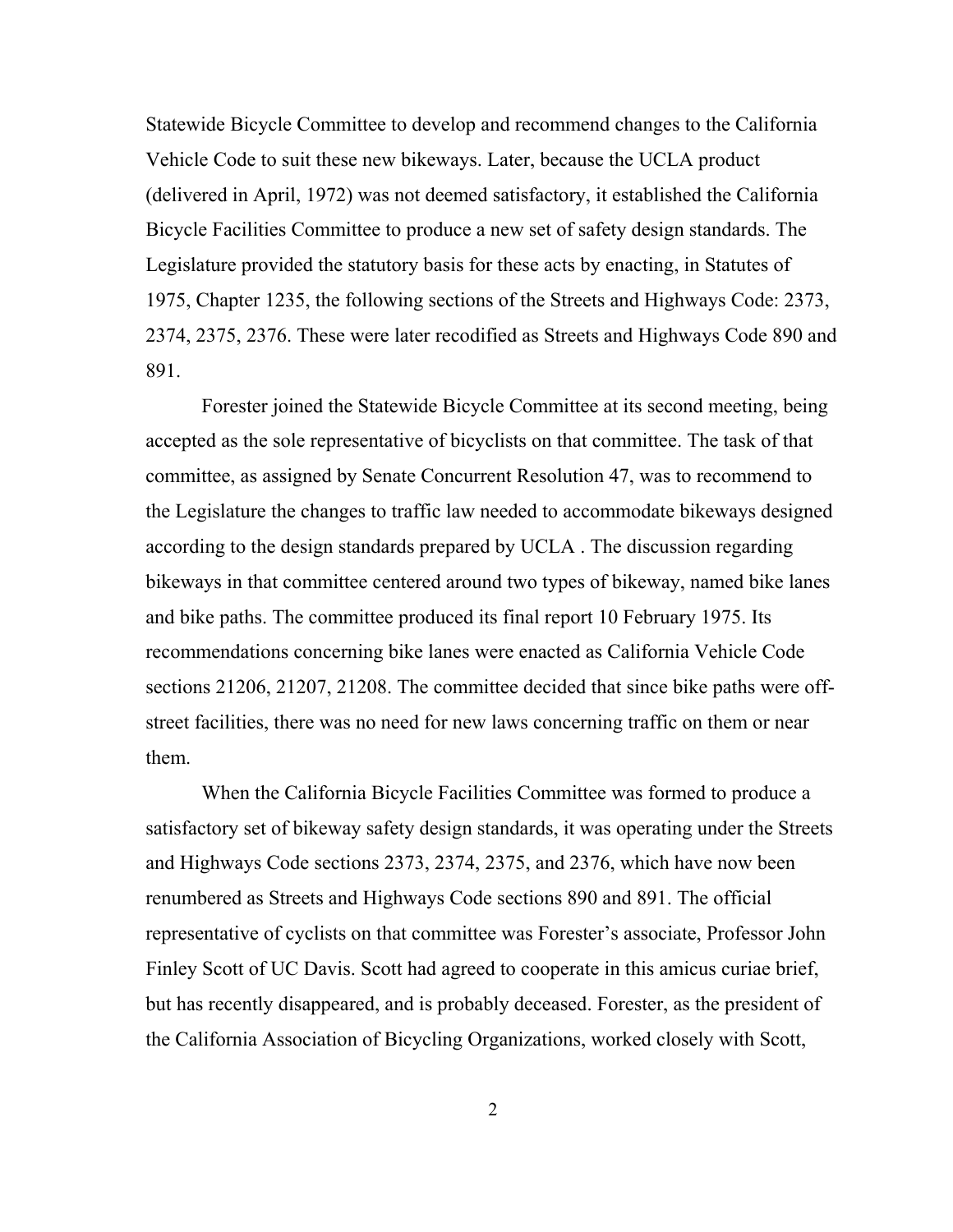Statewide Bicycle Committee to develop and recommend changes to the California Vehicle Code to suit these new bikeways. Later, because the UCLA product (delivered in April, 1972) was not deemed satisfactory, it established the California Bicycle Facilities Committee to produce a new set of safety design standards. The Legislature provided the statutory basis for these acts by enacting, in Statutes of 1975, Chapter 1235, the following sections of the Streets and Highways Code: 2373, 2374, 2375, 2376. These were later recodified as Streets and Highways Code 890 and 891.

Forester joined the Statewide Bicycle Committee at its second meeting, being accepted as the sole representative of bicyclists on that committee. The task of that committee, as assigned by Senate Concurrent Resolution 47, was to recommend to the Legislature the changes to traffic law needed to accommodate bikeways designed according to the design standards prepared by UCLA . The discussion regarding bikeways in that committee centered around two types of bikeway, named bike lanes and bike paths. The committee produced its final report 10 February 1975. Its recommendations concerning bike lanes were enacted as California Vehicle Code sections 21206, 21207, 21208. The committee decided that since bike paths were offstreet facilities, there was no need for new laws concerning traffic on them or near them.

When the California Bicycle Facilities Committee was formed to produce a satisfactory set of bikeway safety design standards, it was operating under the Streets and Highways Code sections 2373, 2374, 2375, and 2376, which have now been renumbered as Streets and Highways Code sections 890 and 891. The official representative of cyclists on that committee was Forester's associate, Professor John Finley Scott of UC Davis. Scott had agreed to cooperate in this amicus curiae brief, but has recently disappeared, and is probably deceased. Forester, as the president of the California Association of Bicycling Organizations, worked closely with Scott,

2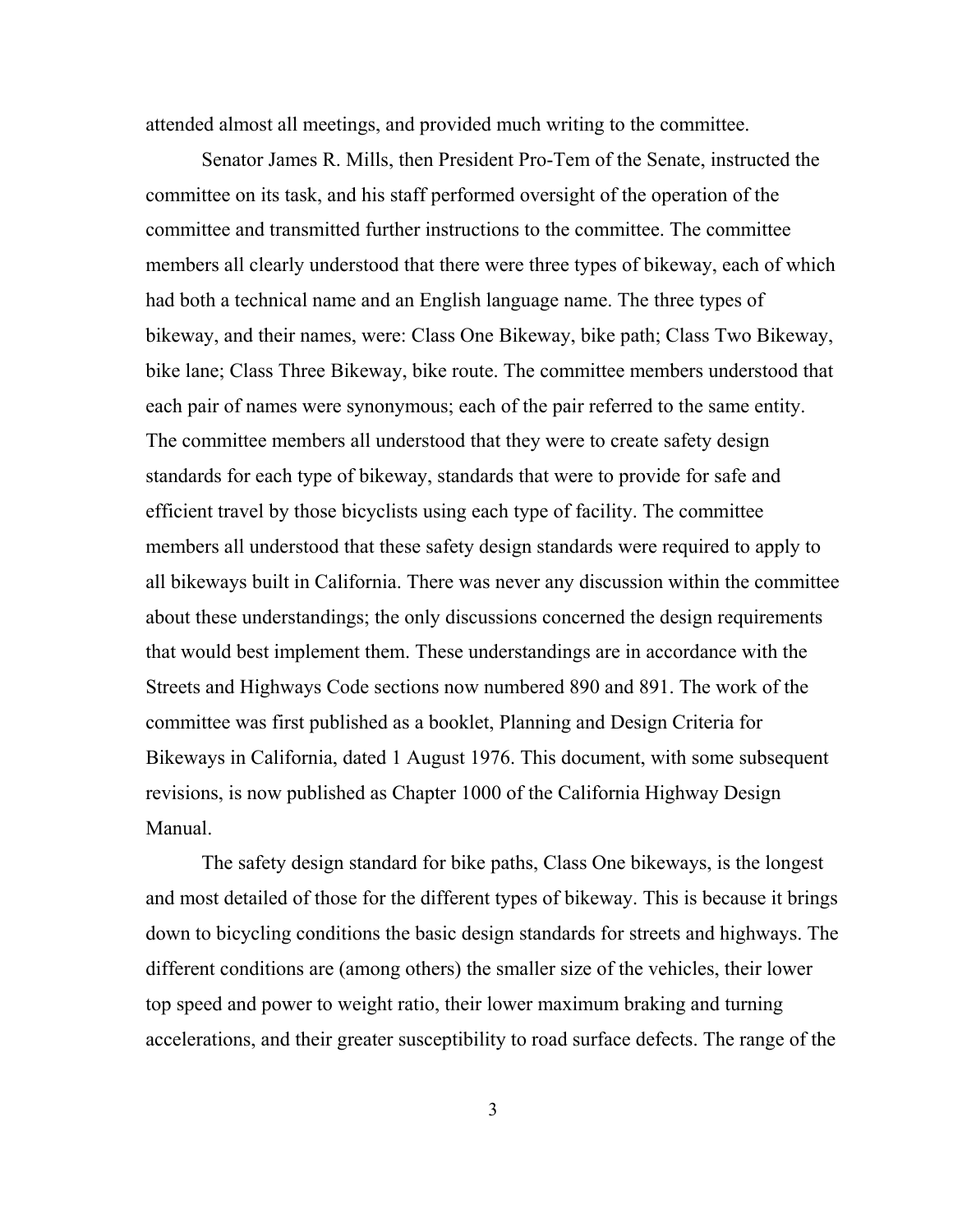attended almost all meetings, and provided much writing to the committee.

Senator James R. Mills, then President Pro-Tem of the Senate, instructed the committee on its task, and his staff performed oversight of the operation of the committee and transmitted further instructions to the committee. The committee members all clearly understood that there were three types of bikeway, each of which had both a technical name and an English language name. The three types of bikeway, and their names, were: Class One Bikeway, bike path; Class Two Bikeway, bike lane; Class Three Bikeway, bike route. The committee members understood that each pair of names were synonymous; each of the pair referred to the same entity. The committee members all understood that they were to create safety design standards for each type of bikeway, standards that were to provide for safe and efficient travel by those bicyclists using each type of facility. The committee members all understood that these safety design standards were required to apply to all bikeways built in California. There was never any discussion within the committee about these understandings; the only discussions concerned the design requirements that would best implement them. These understandings are in accordance with the Streets and Highways Code sections now numbered 890 and 891. The work of the committee was first published as a booklet, Planning and Design Criteria for Bikeways in California, dated 1 August 1976. This document, with some subsequent revisions, is now published as Chapter 1000 of the California Highway Design Manual.

The safety design standard for bike paths, Class One bikeways, is the longest and most detailed of those for the different types of bikeway. This is because it brings down to bicycling conditions the basic design standards for streets and highways. The different conditions are (among others) the smaller size of the vehicles, their lower top speed and power to weight ratio, their lower maximum braking and turning accelerations, and their greater susceptibility to road surface defects. The range of the

3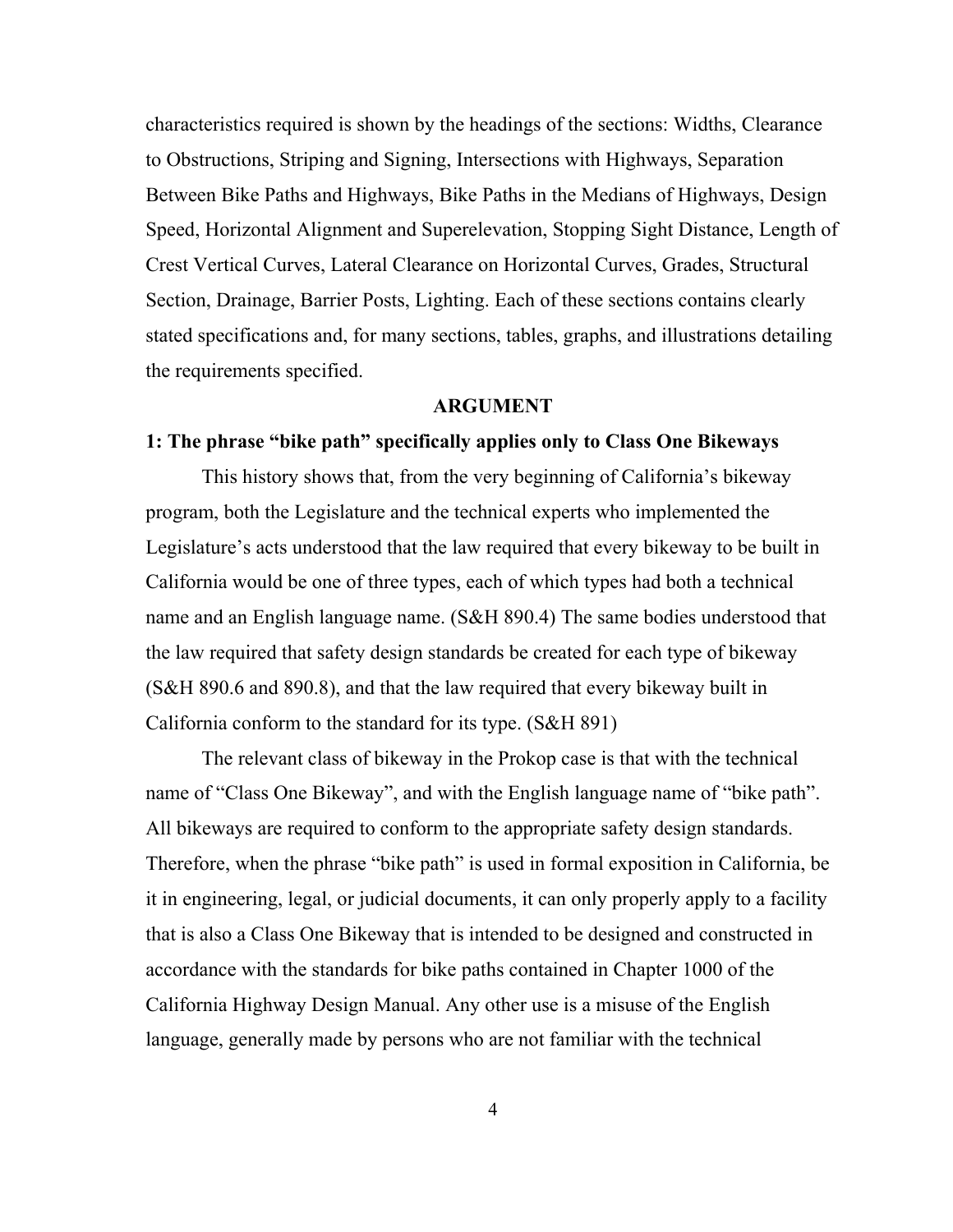characteristics required is shown by the headings of the sections: Widths, Clearance to Obstructions, Striping and Signing, Intersections with Highways, Separation Between Bike Paths and Highways, Bike Paths in the Medians of Highways, Design Speed, Horizontal Alignment and Superelevation, Stopping Sight Distance, Length of Crest Vertical Curves, Lateral Clearance on Horizontal Curves, Grades, Structural Section, Drainage, Barrier Posts, Lighting. Each of these sections contains clearly stated specifications and, for many sections, tables, graphs, and illustrations detailing the requirements specified.

### **ARGUMENT**

### **1: The phrase "bike path" specifically applies only to Class One Bikeways**

This history shows that, from the very beginning of California's bikeway program, both the Legislature and the technical experts who implemented the Legislature's acts understood that the law required that every bikeway to be built in California would be one of three types, each of which types had both a technical name and an English language name. (S&H 890.4) The same bodies understood that the law required that safety design standards be created for each type of bikeway (S&H 890.6 and 890.8), and that the law required that every bikeway built in California conform to the standard for its type. (S&H 891)

The relevant class of bikeway in the Prokop case is that with the technical name of "Class One Bikeway", and with the English language name of "bike path". All bikeways are required to conform to the appropriate safety design standards. Therefore, when the phrase "bike path" is used in formal exposition in California, be it in engineering, legal, or judicial documents, it can only properly apply to a facility that is also a Class One Bikeway that is intended to be designed and constructed in accordance with the standards for bike paths contained in Chapter 1000 of the California Highway Design Manual. Any other use is a misuse of the English language, generally made by persons who are not familiar with the technical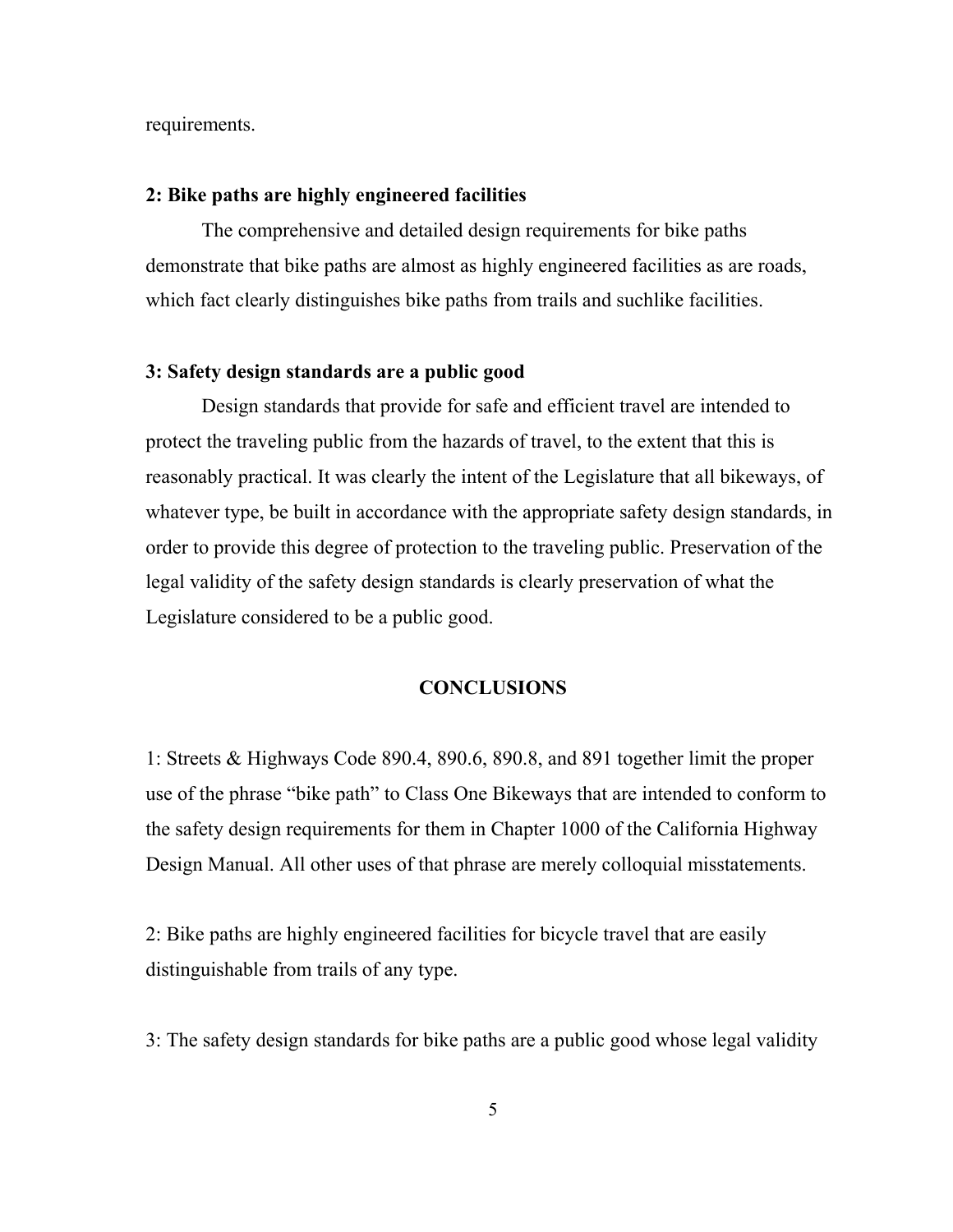requirements.

#### **2: Bike paths are highly engineered facilities**

The comprehensive and detailed design requirements for bike paths demonstrate that bike paths are almost as highly engineered facilities as are roads, which fact clearly distinguishes bike paths from trails and suchlike facilities.

### **3: Safety design standards are a public good**

Design standards that provide for safe and efficient travel are intended to protect the traveling public from the hazards of travel, to the extent that this is reasonably practical. It was clearly the intent of the Legislature that all bikeways, of whatever type, be built in accordance with the appropriate safety design standards, in order to provide this degree of protection to the traveling public. Preservation of the legal validity of the safety design standards is clearly preservation of what the Legislature considered to be a public good.

### **CONCLUSIONS**

1: Streets & Highways Code 890.4, 890.6, 890.8, and 891 together limit the proper use of the phrase "bike path" to Class One Bikeways that are intended to conform to the safety design requirements for them in Chapter 1000 of the California Highway Design Manual. All other uses of that phrase are merely colloquial misstatements.

2: Bike paths are highly engineered facilities for bicycle travel that are easily distinguishable from trails of any type.

3: The safety design standards for bike paths are a public good whose legal validity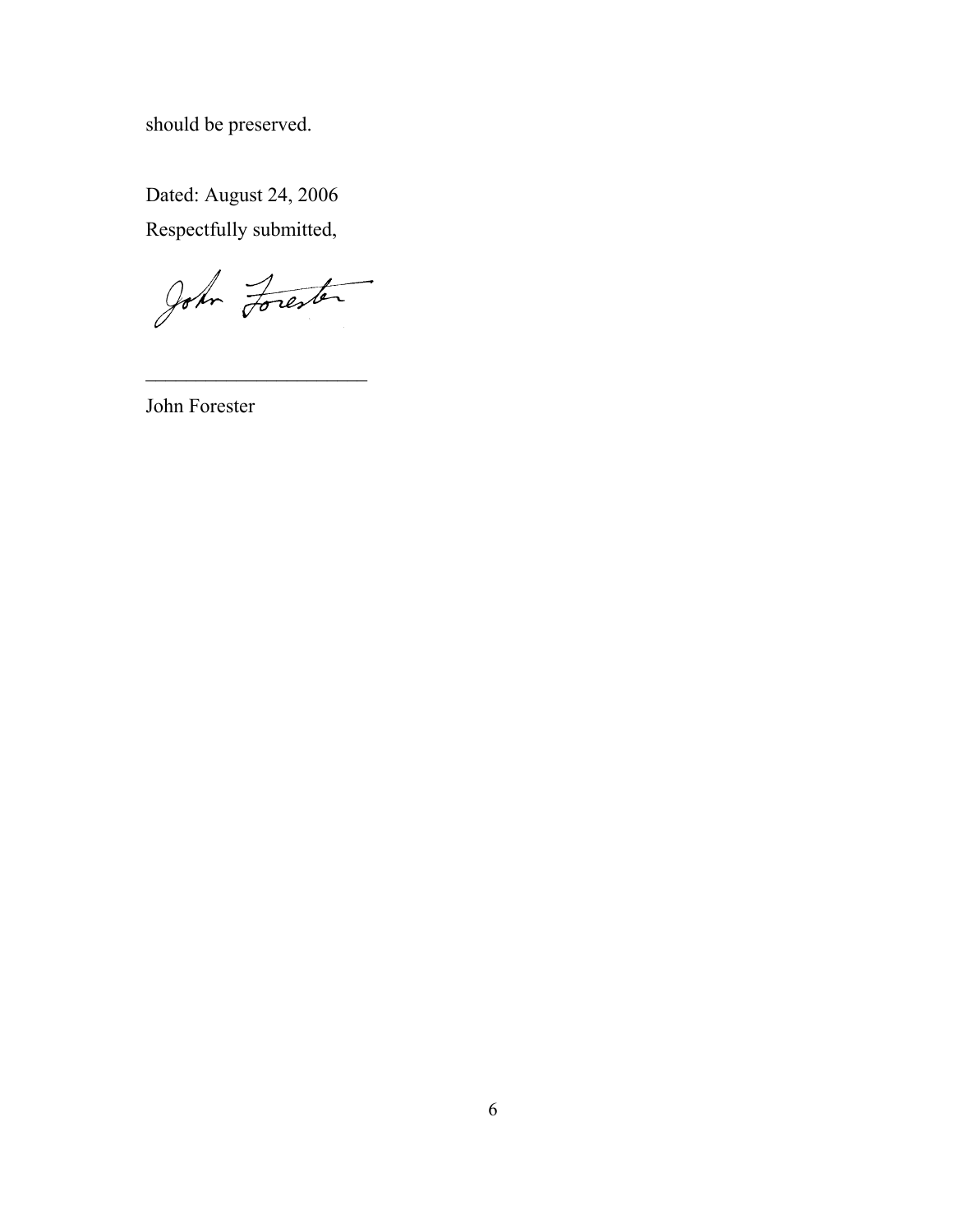should be preserved.

Dated: August 24, 2006 Respectfully submitted,

John Forester

 $\mathcal{L}_\text{max}$  and  $\mathcal{L}_\text{max}$  and  $\mathcal{L}_\text{max}$ 

John Forester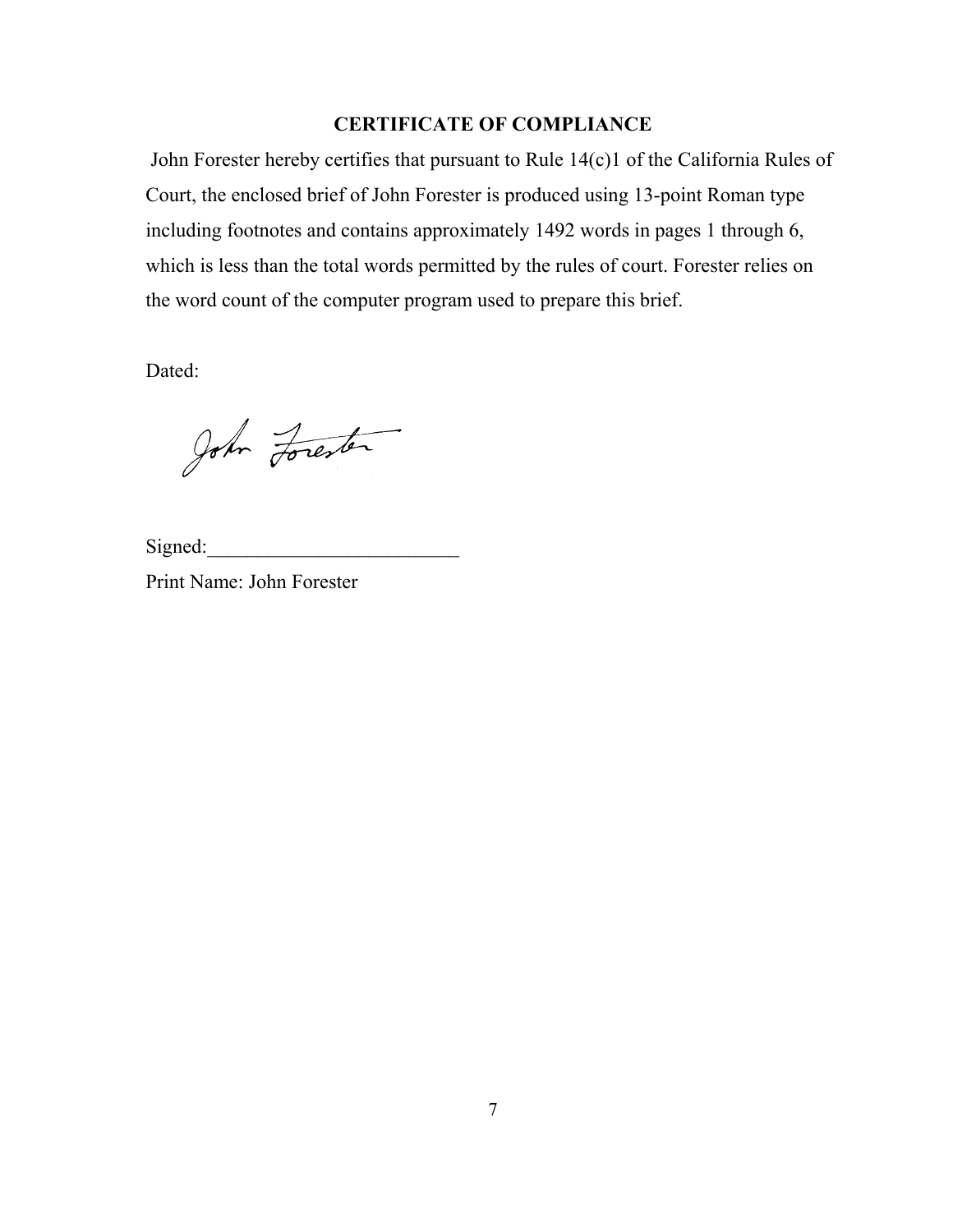### **CERTIFICATE OF COMPLIANCE**

 John Forester hereby certifies that pursuant to Rule 14(c)1 of the California Rules of Court, the enclosed brief of John Forester is produced using 13-point Roman type including footnotes and contains approximately 1492 words in pages 1 through 6, which is less than the total words permitted by the rules of court. Forester relies on the word count of the computer program used to prepare this brief.

Dated:

John Forester

Signed:

Print Name: John Forester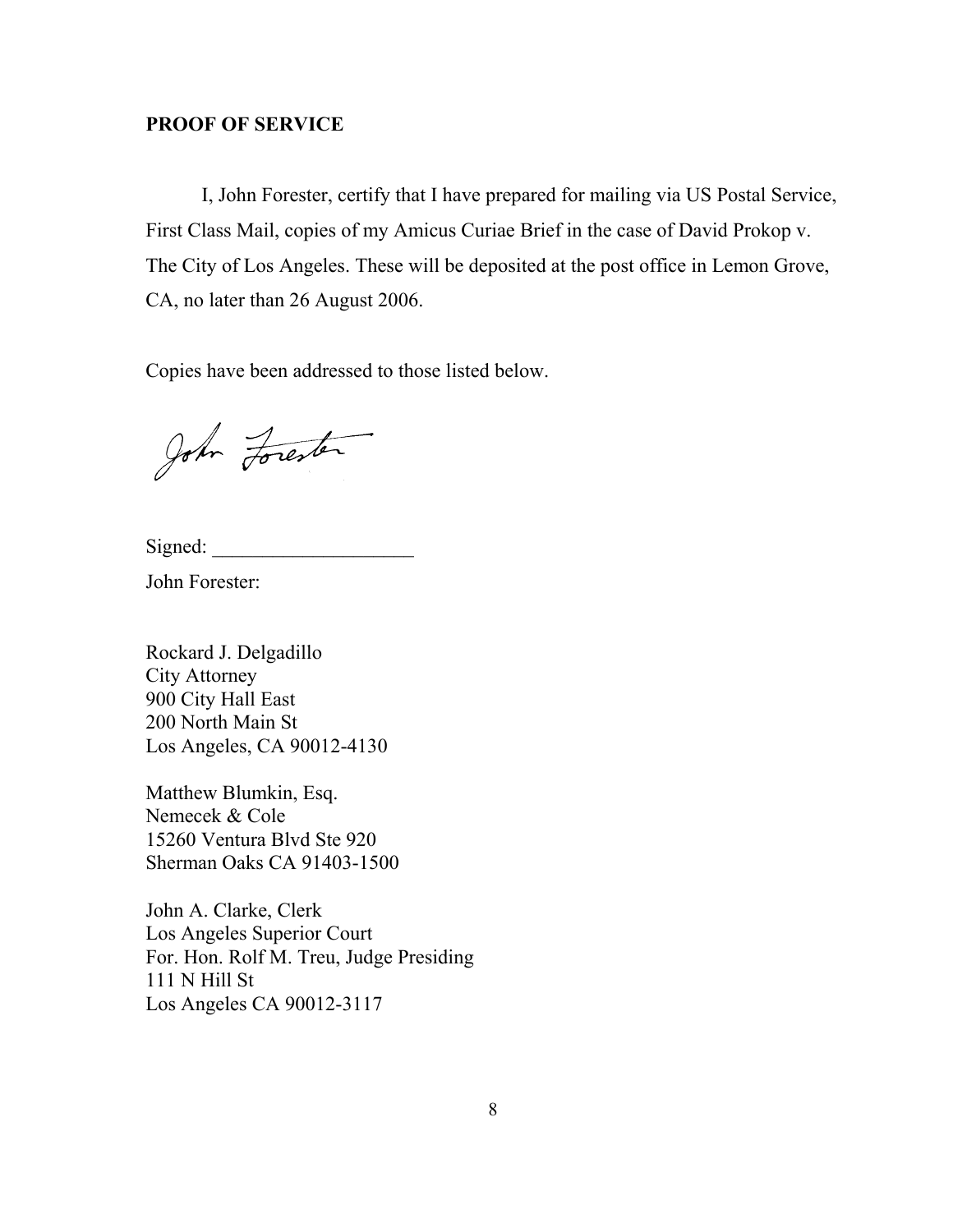### **PROOF OF SERVICE**

I, John Forester, certify that I have prepared for mailing via US Postal Service, First Class Mail, copies of my Amicus Curiae Brief in the case of David Prokop v. The City of Los Angeles. These will be deposited at the post office in Lemon Grove, CA, no later than 26 August 2006.

Copies have been addressed to those listed below.

John Forester

Signed:

John Forester:

Rockard J. Delgadillo City Attorney 900 City Hall East 200 North Main St Los Angeles, CA 90012-4130

Matthew Blumkin, Esq. Nemecek & Cole 15260 Ventura Blvd Ste 920 Sherman Oaks CA 91403-1500

John A. Clarke, Clerk Los Angeles Superior Court For. Hon. Rolf M. Treu, Judge Presiding 111 N Hill St Los Angeles CA 90012-3117